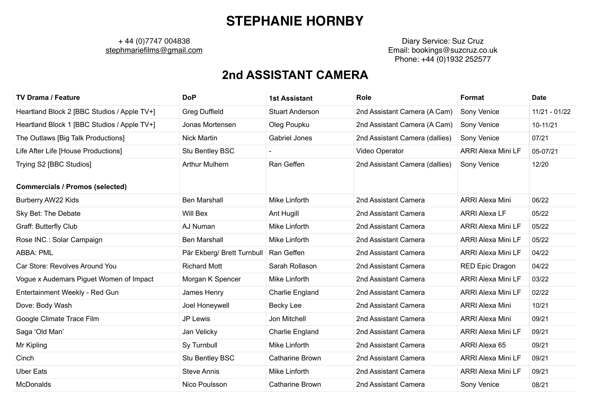## **STEPHANIE HORNBY**

## + 44 (0)7747 004838 [stephmariefilms@gmail.com](mailto:stephmariefilms@gmail.com)

Diary Service: Suz Cruz Email: [bookings@suzcruz.co.uk](mailto:bookings@suzcruz.co.uk) Phone: +44 (0)1932 252577

## **2nd ASSISTANT CAMERA**

| <b>TV Drama / Feature</b>                                         | <b>DoP</b>                 | <b>1st Assistant</b>   | Role                           | Format                    | <b>Date</b>     |
|-------------------------------------------------------------------|----------------------------|------------------------|--------------------------------|---------------------------|-----------------|
| Heartland Block 2 [BBC Studios / Apple TV+]                       | <b>Greg Duffield</b>       | <b>Stuart Anderson</b> | 2nd Assistant Camera (A Cam)   | Sony Venice               | $11/21 - 01/22$ |
| Heartland Block 1 [BBC Studios / Apple TV+]                       | Jonas Mortensen            | Oleg Poupku            | 2nd Assistant Camera (A Cam)   | Sony Venice               | 10-11/21        |
| The Outlaws [Big Talk Productions]                                | <b>Nick Martin</b>         | Gabriel Jones          | 2nd Assistant Camera (dallies) | Sony Venice               | 07/21           |
| Life After Life [House Productions]                               | Stu Bentley BSC            |                        | Video Operator                 | <b>ARRI Alexa Mini LF</b> | 05-07/21        |
| Trying S2 [BBC Studios]<br><b>Commercials / Promos (selected)</b> | <b>Arthur Mulhern</b>      | Ran Geffen             | 2nd Assistant Camera (dallies) | Sony Venice               | 12/20           |
| Burberry AW22 Kids                                                | <b>Ben Marshall</b>        | <b>Mike Linforth</b>   | 2nd Assistant Camera           | <b>ARRI Alexa Mini</b>    | 06/22           |
| Sky Bet: The Debate                                               | Will Bex                   | Ant Hugill             | 2nd Assistant Camera           | <b>ARRI Alexa LF</b>      | 05/22           |
| Graff: Butterfly Club                                             | AJ Numan                   | Mike Linforth          | 2nd Assistant Camera           | ARRI Alexa Mini LF        | 05/22           |
| Rose INC.: Solar Campaign                                         | <b>Ben Marshall</b>        | <b>Mike Linforth</b>   | 2nd Assistant Camera           | ARRI Alexa Mini LF        | 05/22           |
| ABBA: PML                                                         | Pär Ekberg/ Brett Turnbull | Ran Geffen             | 2nd Assistant Camera           | <b>ARRI Alexa Mini LF</b> | 04/22           |
| Car Store: Revolves Around You                                    | <b>Richard Mott</b>        | Sarah Rollason         | 2nd Assistant Camera           | RED Epic Dragon           | 04/22           |
| Vogue x Audemars Piguet Women of Impact                           | Morgan K Spencer           | <b>Mike Linforth</b>   | 2nd Assistant Camera           | <b>ARRI Alexa Mini LF</b> | 03/22           |
| Entertainment Weekly - Red Gun                                    | James Henry                | Charlie England        | 2nd Assistant Camera           | <b>ARRI Alexa Mini LF</b> | 02/22           |
| Dove: Body Wash                                                   | Joel Honeywell             | Becky Lee              | 2nd Assistant Camera           | <b>ARRI Alexa Mini</b>    | 10/21           |
| Google Climate Trace Film                                         | JP Lewis                   | Jon Mitchell           | 2nd Assistant Camera           | <b>ARRI Alexa Mini</b>    | 09/21           |
| Saga 'Old Man'                                                    | Jan Velicky                | Charlie England        | 2nd Assistant Camera           | ARRI Alexa Mini LF        | 09/21           |
| Mr Kipling                                                        | Sy Turnbull                | Mike Linforth          | 2nd Assistant Camera           | ARRI Alexa 65             | 09/21           |
| Cinch                                                             | Stu Bentley BSC            | <b>Catharine Brown</b> | 2nd Assistant Camera           | <b>ARRI Alexa Mini LF</b> | 09/21           |
| <b>Uber Eats</b>                                                  | <b>Steve Annis</b>         | <b>Mike Linforth</b>   | 2nd Assistant Camera           | <b>ARRI Alexa Mini LF</b> | 09/21           |
| <b>McDonalds</b>                                                  | Nico Poulsson              | <b>Catharine Brown</b> | 2nd Assistant Camera           | Sony Venice               | 08/21           |